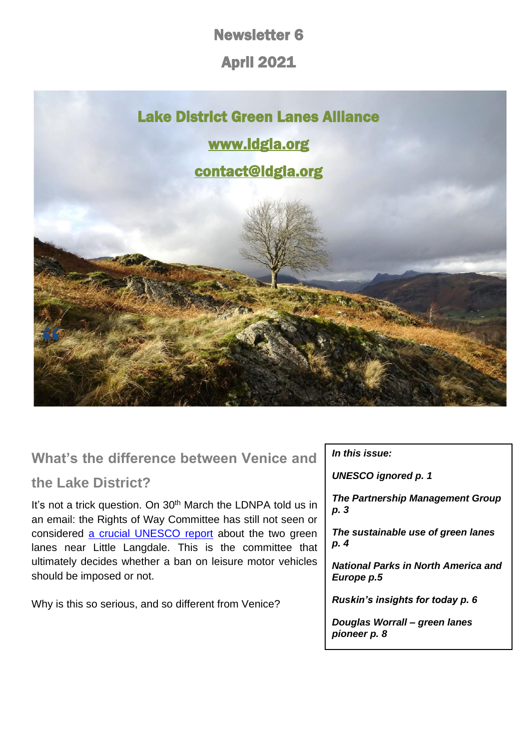Newsletter 6

April 2021



# **What's the difference between Venice and**

## **the Lake District?**

It's not a trick question. On 30<sup>th</sup> March the LDNPA told us in an email: the Rights of Way Committee has still not seen or considered a crucial [UNESCO report](https://d93992ec-49a9-490d-8cd2-4c8f6682bde7.filesusr.com/ugd/269609_0ee518f283e4453aafed62172c490913.pdf) about the two green lanes near Little Langdale. This is the committee that ultimately decides whether a ban on leisure motor vehicles should be imposed or not.

Why is this so serious, and so different from Venice?

## *In this issue:*

*UNESCO ignored p. 1*

*The Partnership Management Group p. 3*

*The sustainable use of green lanes p. 4*

*National Parks in North America and Europe p.5*

*Ruskin's insights for today p. 6*

*Douglas Worrall – green lanes pioneer p. 8*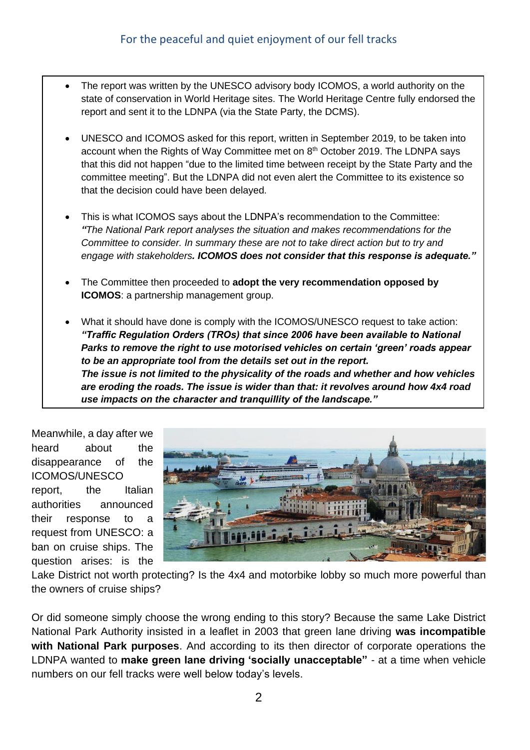- The report was written by the UNESCO advisory body ICOMOS, a world authority on the state of conservation in World Heritage sites. The World Heritage Centre fully endorsed the report and sent it to the LDNPA (via the State Party, the DCMS).
- UNESCO and ICOMOS asked for this report, written in September 2019, to be taken into account when the Rights of Way Committee met on  $8<sup>th</sup>$  October 2019. The LDNPA says that this did not happen "due to the limited time between receipt by the State Party and the committee meeting". But the LDNPA did not even alert the Committee to its existence so that the decision could have been delayed.
- This is what ICOMOS says about the LDNPA's recommendation to the Committee: *"The National Park report analyses the situation and makes recommendations for the Committee to consider. In summary these are not to take direct action but to try and engage with stakeholders. ICOMOS does not consider that this response is adequate."*
- The Committee then proceeded to **adopt the very recommendation opposed by ICOMOS**: a partnership management group.
- What it should have done is comply with the ICOMOS/UNESCO request to take action: *"Traffic Regulation Orders (TROs) that since 2006 have been available to National Parks to remove the right to use motorised vehicles on certain 'green' roads appear to be an appropriate tool from the details set out in the report. The issue is not limited to the physicality of the roads and whether and how vehicles are eroding the roads. The issue is wider than that: it revolves around how 4x4 road use impacts on the character and tranquillity of the landscape."*

Meanwhile, a day after we heard about the disappearance of the ICOMOS/UNESCO report, the Italian authorities announced their response to a request from UNESCO: a ban on cruise ships. The question arises: is the



Lake District not worth protecting? Is the 4x4 and motorbike lobby so much more powerful than the owners of cruise ships?

Or did someone simply choose the wrong ending to this story? Because the same Lake District National Park Authority insisted in a leaflet in 2003 that green lane driving **was incompatible with National Park purposes**. And according to its then director of corporate operations the LDNPA wanted to **make green lane driving 'socially unacceptable"** - at a time when vehicle numbers on our fell tracks were well below today's levels.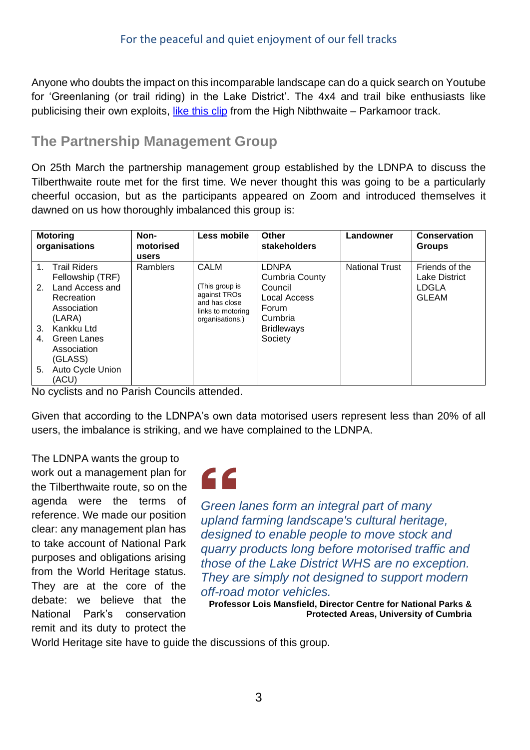Anyone who doubts the impact on this incomparable landscape can do a quick search on Youtube for 'Greenlaning (or trail riding) in the Lake District'. The 4x4 and trail bike enthusiasts like publicising their own exploits, [like this clip](https://www.youtube.com/watch?v=ZfxpqUWT6rM) from the High Nibthwaite – Parkamoor track.

## **The Partnership Management Group**

On 25th March the partnership management group established by the LDNPA to discuss the Tilberthwaite route met for the first time. We never thought this was going to be a particularly cheerful occasion, but as the participants appeared on Zoom and introduced themselves it dawned on us how thoroughly imbalanced this group is:

| <b>Motoring</b><br>organisations |                                                                                                                                           | Non-<br>motorised<br>users | Less mobile                                                                                            | Other<br>stakeholders                                                                                         | Landowner             | Conservation<br><b>Groups</b>                            |
|----------------------------------|-------------------------------------------------------------------------------------------------------------------------------------------|----------------------------|--------------------------------------------------------------------------------------------------------|---------------------------------------------------------------------------------------------------------------|-----------------------|----------------------------------------------------------|
| 2.<br>3.<br>4.                   | 1. Trail Riders<br>Fellowship (TRF)<br>Land Access and<br>Recreation<br>Association<br>(LARA)<br>Kankku Ltd<br>Green Lanes<br>Association | Ramblers                   | <b>CALM</b><br>(This group is<br>against TROs<br>and has close<br>links to motoring<br>organisations.) | <b>LDNPA</b><br>Cumbria County<br>Council<br>Local Access<br>Forum<br>Cumbria<br><b>Bridleways</b><br>Society | <b>National Trust</b> | Friends of the<br>Lake District<br>LDGLA<br><b>GLEAM</b> |
| 5.                               | (GLASS)<br>Auto Cycle Union<br>(ACU)                                                                                                      |                            |                                                                                                        |                                                                                                               |                       |                                                          |

No cyclists and no Parish Councils attended.

Given that according to the LDNPA's own data motorised users represent less than 20% of all users, the imbalance is striking, and we have complained to the LDNPA.

The LDNPA wants the group to work out a management plan for the Tilberthwaite route, so on the agenda were the terms of reference. We made our position clear: any management plan has to take account of National Park purposes and obligations arising from the World Heritage status. They are at the core of the debate: we believe that the National Park's conservation remit and its duty to protect the



*Green lanes form an integral part of many upland farming landscape's cultural heritage, designed to enable people to move stock and quarry products long before motorised traffic and those of the Lake District WHS are no exception. They are simply not designed to support modern off-road motor vehicles.*

**Professor Lois Mansfield, Director Centre for National Parks & Protected Areas, University of Cumbria**

World Heritage site have to guide the discussions of this group.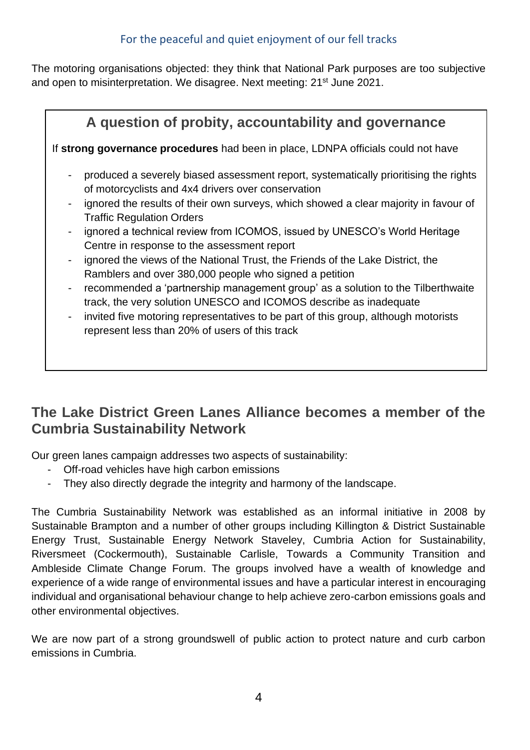The motoring organisations objected: they think that National Park purposes are too subjective and open to misinterpretation. We disagree. Next meeting: 21<sup>st</sup> June 2021.

| A question of probity, accountability and governance                              |                                                                                                                                                      |  |  |  |  |  |
|-----------------------------------------------------------------------------------|------------------------------------------------------------------------------------------------------------------------------------------------------|--|--|--|--|--|
| If strong governance procedures had been in place, LDNPA officials could not have |                                                                                                                                                      |  |  |  |  |  |
| -                                                                                 | produced a severely biased assessment report, systematically prioritising the rights<br>of motorcyclists and 4x4 drivers over conservation           |  |  |  |  |  |
| -                                                                                 | ignored the results of their own surveys, which showed a clear majority in favour of<br><b>Traffic Regulation Orders</b>                             |  |  |  |  |  |
| $\overline{\phantom{0}}$                                                          | ignored a technical review from ICOMOS, issued by UNESCO's World Heritage<br>Centre in response to the assessment report                             |  |  |  |  |  |
| -                                                                                 | ignored the views of the National Trust, the Friends of the Lake District, the<br>Ramblers and over 380,000 people who signed a petition             |  |  |  |  |  |
| -                                                                                 | recommended a 'partnership management group' as a solution to the Tilberthwaite<br>track, the very solution UNESCO and ICOMOS describe as inadequate |  |  |  |  |  |
| -                                                                                 | invited five motoring representatives to be part of this group, although motorists<br>represent less than 20% of users of this track                 |  |  |  |  |  |

## **The Lake District Green Lanes Alliance becomes a member of the Cumbria Sustainability Network**

Our green lanes campaign addresses two aspects of sustainability:

- Off-road vehicles have high carbon emissions
- They also directly degrade the integrity and harmony of the landscape.

The Cumbria Sustainability Network was established as an informal initiative in 2008 by Sustainable Brampton and a number of other groups including Killington & District Sustainable Energy Trust, Sustainable Energy Network Staveley, Cumbria Action for Sustainability, Riversmeet (Cockermouth), Sustainable Carlisle, Towards a Community Transition and Ambleside Climate Change Forum. The groups involved have a wealth of knowledge and experience of a wide range of environmental issues and have a particular interest in encouraging individual and organisational behaviour change to help achieve zero-carbon emissions goals and other environmental objectives.

We are now part of a strong groundswell of public action to protect nature and curb carbon emissions in Cumbria.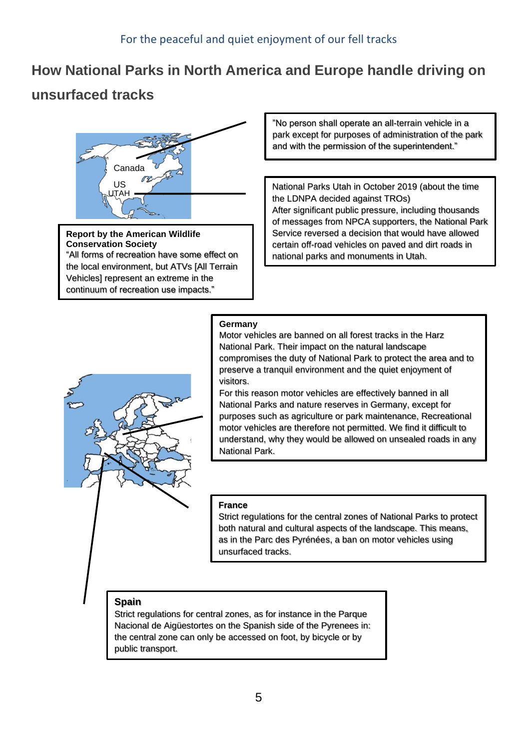# **How National Parks in North America and Europe handle driving on**

# **unsurfaced tracks**



**Report by the American Wildlife Conservation Society** "All forms of recreation have some effect on the local environment, but ATVs [All Terrain Vehicles] represent an extreme in the continuum of recreation use impacts."

"No person shall operate an all-terrain vehicle in a park except for purposes of administration of the park and with the permission of the superintendent."

all-terrain vectors are all the set of  $\alpha$  park except for a park except for  $\alpha$ 

purposes of administration of the park National Parks Utah in October 2019 (about the time the LDNPA decided against TROs) After significant public pressure, including diodsaries<br>of messages from NPCA supporters, the National Park After significant public pressure, including thousands Service reversed a decision that would have allowed certain off-road vehicles on paved and dirt roads in national parks and monuments in Utah.

mman<br>Manazarta

#### **Germany**

in Utah.

Motor vehicles are banned on all forest tracks in the Harz National Park. Their impact on the natural landscape compromises the duty of National Park to protect the area and to preserve a tranquil environment and the quiet enjoyment of visitors.

For this reason motor vehicles are effectively banned in all National Parks and nature reserves in Germany, except for purposes such as agriculture or park maintenance, Recreational motor vehicles are therefore not permitted. We find it difficult to understand, why they would be allowed on unsealed roads in any National Park.

#### banned in all National Parks and nature **France**

.

reserves in Germany, except for purposes in Germany, except for purposes  $\mathcal{L}_1$ Strict regulations for the central zones of National Parks to protect<br>both natural and sultural aspects of the landscape. This means bout natural and called are deposed of the landscape. This means,<br>as in the Parc des Pyrénées, a ban on motor vehicles using unsurfaced tracks. both natural and cultural aspects of the landscape. This means,

where  $\alpha$  is the allowed on unsertial behalf on unsertial behalf on unsertial behalf on unsertial behalf on unsertial behalf on unsertial behalf on unsertial behalf on unsertial behalf on unsertial behalf on unsertial be

permission of the superintendent.

in Utah.

**Spain**<br>Strict regulations for central zones, as for instance in the Parque Nacional de Aigüestortes on the Spanish side of the Pyrenees in: the central zone can only be accessed on foot, by bicycle or by public transport.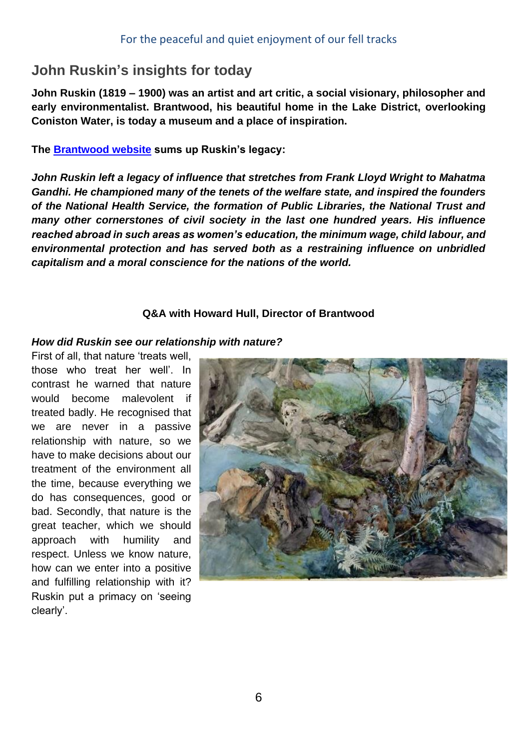# **John Ruskin's insights for today**

**John Ruskin (1819 – 1900) was an artist and art critic, a social visionary, philosopher and early environmentalist. Brantwood, his beautiful home in the Lake District, overlooking Coniston Water, is today a museum and a place of inspiration.**

**The [Brantwood website](https://www.brantwood.org.uk/) sums up Ruskin's legacy:**

*John Ruskin left a legacy of influence that stretches from Frank Lloyd Wright to Mahatma Gandhi. He championed many of the tenets of the welfare state, and inspired the founders of the National Health Service, the formation of Public Libraries, the National Trust and many other cornerstones of civil society in the last one hundred years. His influence reached abroad in such areas as women's education, the minimum wage, child labour, and environmental protection and has served both as a restraining influence on unbridled capitalism and a moral conscience for the nations of the world.*

## **Q&A with Howard Hull, Director of Brantwood**

#### *How did Ruskin see our relationship with nature?*

First of all, that nature 'treats well, those who treat her well'. In contrast he warned that nature would become malevolent if treated badly. He recognised that we are never in a passive relationship with nature, so we have to make decisions about our treatment of the environment all the time, because everything we do has consequences, good or bad. Secondly, that nature is the great teacher, which we should approach with humility and respect. Unless we know nature, how can we enter into a positive and fulfilling relationship with it? Ruskin put a primacy on 'seeing clearly'.

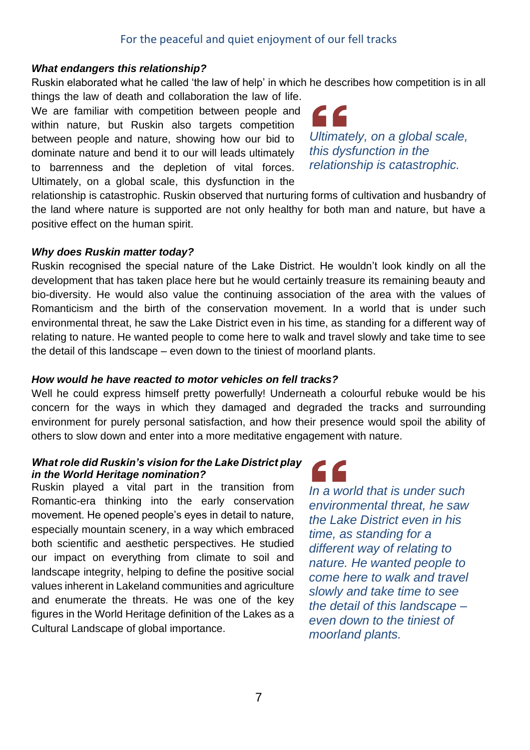## For the peaceful and quiet enjoyment of our fell tracks

#### *What endangers this relationship?*

Ruskin elaborated what he called 'the law of help' in which he describes how competition is in all

things the law of death and collaboration the law of life. We are familiar with competition between people and within nature, but Ruskin also targets competition between people and nature, showing how our bid to dominate nature and bend it to our will leads ultimately to barrenness and the depletion of vital forces. Ultimately, on a global scale, this dysfunction in the

*Ultimately, on a global scale, this dysfunction in the relationship is catastrophic.* 

relationship is catastrophic. Ruskin observed that nurturing forms of cultivation and husbandry of the land where nature is supported are not only healthy for both man and nature, but have a positive effect on the human spirit.

#### *Why does Ruskin matter today?*

Ruskin recognised the special nature of the Lake District. He wouldn't look kindly on all the development that has taken place here but he would certainly treasure its remaining beauty and bio-diversity. He would also value the continuing association of the area with the values of Romanticism and the birth of the conservation movement. In a world that is under such environmental threat, he saw the Lake District even in his time, as standing for a different way of relating to nature. He wanted people to come here to walk and travel slowly and take time to see the detail of this landscape – even down to the tiniest of moorland plants.

## *How would he have reacted to motor vehicles on fell tracks?*

Well he could express himself pretty powerfully! Underneath a colourful rebuke would be his concern for the ways in which they damaged and degraded the tracks and surrounding environment for purely personal satisfaction, and how their presence would spoil the ability of others to slow down and enter into a more meditative engagement with nature.

#### *What role did Ruskin's vision for the Lake District play in the World Heritage nomination?*

Ruskin played a vital part in the transition from Romantic-era thinking into the early conservation movement. He opened people's eyes in detail to nature, especially mountain scenery, in a way which embraced both scientific and aesthetic perspectives. He studied our impact on everything from climate to soil and landscape integrity, helping to define the positive social values inherent in Lakeland communities and agriculture and enumerate the threats. He was one of the key figures in the World Heritage definition of the Lakes as a Cultural Landscape of global importance.



*In a world that is under such environmental threat, he saw the Lake District even in his time, as standing for a different way of relating to nature. He wanted people to come here to walk and travel slowly and take time to see the detail of this landscape – even down to the tiniest of moorland plants.*